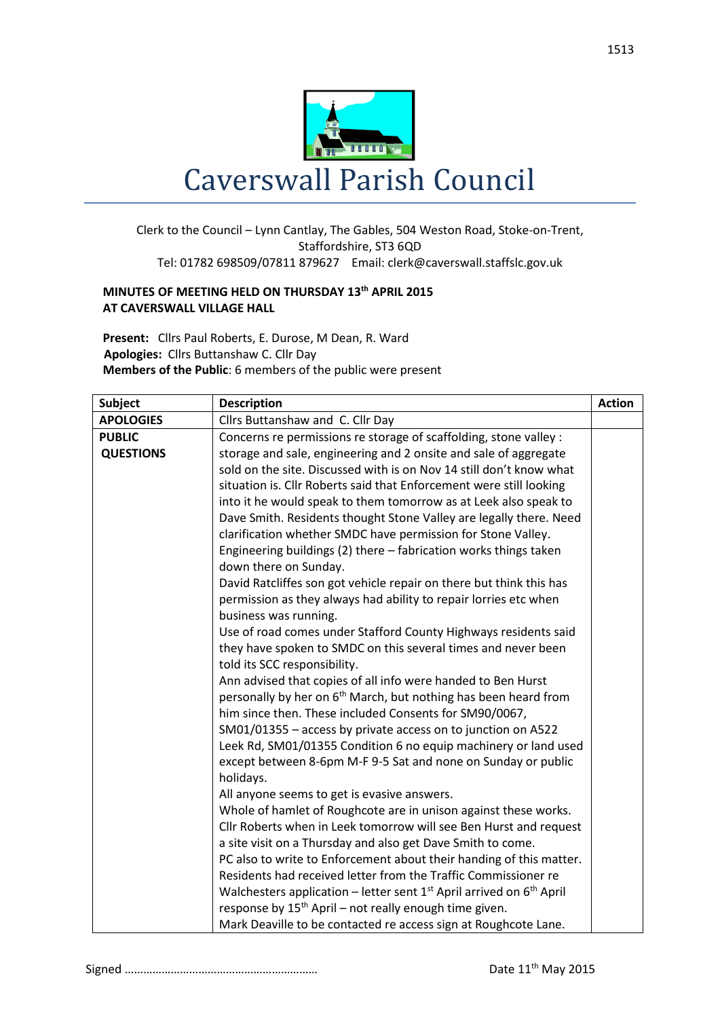

## Clerk to the Council – Lynn Cantlay, The Gables, 504 Weston Road, Stoke-on-Trent, Staffordshire, ST3 6QD Tel: 01782 698509/07811 879627 Email: clerk@caverswall.staffslc.gov.uk

## **MINUTES OF MEETING HELD ON THURSDAY 13th APRIL 2015 AT CAVERSWALL VILLAGE HALL**

**Present:** Cllrs Paul Roberts, E. Durose, M Dean, R. Ward  **Apologies:** Cllrs Buttanshaw C. Cllr Day **Members of the Public**: 6 members of the public were present

| <b>Subject</b>   | <b>Description</b>                                                             | <b>Action</b> |
|------------------|--------------------------------------------------------------------------------|---------------|
| <b>APOLOGIES</b> | Cllrs Buttanshaw and C. Cllr Day                                               |               |
| <b>PUBLIC</b>    | Concerns re permissions re storage of scaffolding, stone valley :              |               |
| <b>QUESTIONS</b> | storage and sale, engineering and 2 onsite and sale of aggregate               |               |
|                  | sold on the site. Discussed with is on Nov 14 still don't know what            |               |
|                  | situation is. Cllr Roberts said that Enforcement were still looking            |               |
|                  | into it he would speak to them tomorrow as at Leek also speak to               |               |
|                  | Dave Smith. Residents thought Stone Valley are legally there. Need             |               |
|                  | clarification whether SMDC have permission for Stone Valley.                   |               |
|                  | Engineering buildings (2) there - fabrication works things taken               |               |
|                  | down there on Sunday.                                                          |               |
|                  | David Ratcliffes son got vehicle repair on there but think this has            |               |
|                  | permission as they always had ability to repair lorries etc when               |               |
|                  | business was running.                                                          |               |
|                  | Use of road comes under Stafford County Highways residents said                |               |
|                  | they have spoken to SMDC on this several times and never been                  |               |
|                  | told its SCC responsibility.                                                   |               |
|                  | Ann advised that copies of all info were handed to Ben Hurst                   |               |
|                  | personally by her on 6 <sup>th</sup> March, but nothing has been heard from    |               |
|                  | him since then. These included Consents for SM90/0067,                         |               |
|                  | SM01/01355 - access by private access on to junction on A522                   |               |
|                  | Leek Rd, SM01/01355 Condition 6 no equip machinery or land used                |               |
|                  | except between 8-6pm M-F 9-5 Sat and none on Sunday or public                  |               |
|                  | holidays.                                                                      |               |
|                  | All anyone seems to get is evasive answers.                                    |               |
|                  | Whole of hamlet of Roughcote are in unison against these works.                |               |
|                  | Cllr Roberts when in Leek tomorrow will see Ben Hurst and request              |               |
|                  | a site visit on a Thursday and also get Dave Smith to come.                    |               |
|                  | PC also to write to Enforcement about their handing of this matter.            |               |
|                  | Residents had received letter from the Traffic Commissioner re                 |               |
|                  | Walchesters application – letter sent $1^{st}$ April arrived on $6^{th}$ April |               |
|                  | response by $15th$ April – not really enough time given.                       |               |
|                  | Mark Deaville to be contacted re access sign at Roughcote Lane.                |               |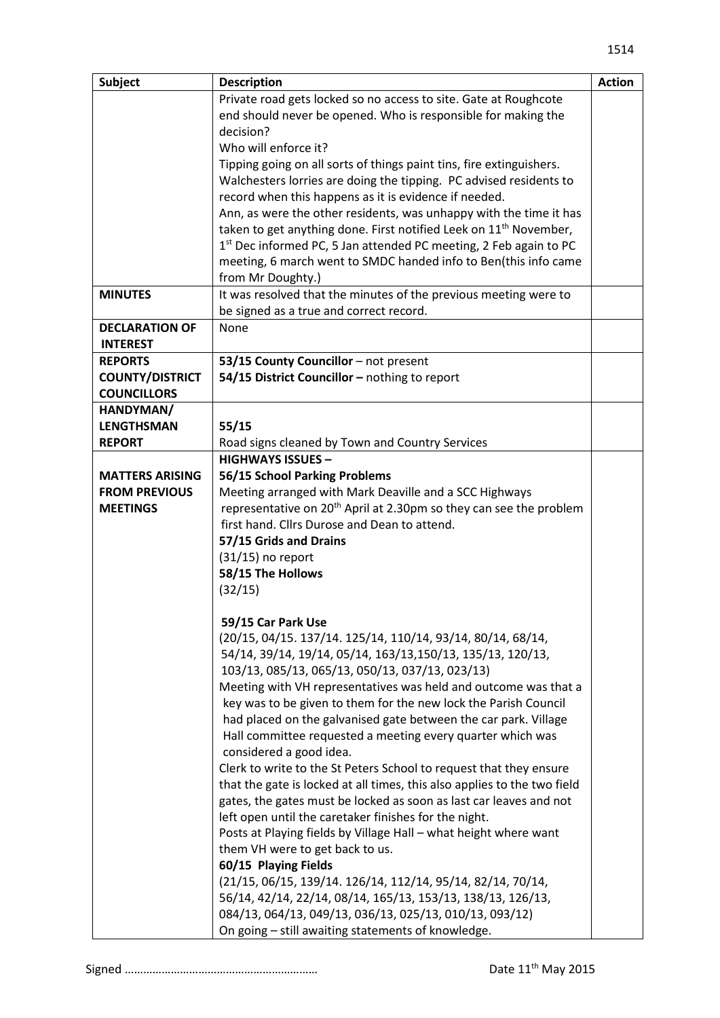| <b>Subject</b>         | <b>Description</b>                                                             | <b>Action</b> |
|------------------------|--------------------------------------------------------------------------------|---------------|
|                        | Private road gets locked so no access to site. Gate at Roughcote               |               |
|                        | end should never be opened. Who is responsible for making the                  |               |
|                        | decision?                                                                      |               |
|                        | Who will enforce it?                                                           |               |
|                        | Tipping going on all sorts of things paint tins, fire extinguishers.           |               |
|                        | Walchesters lorries are doing the tipping. PC advised residents to             |               |
|                        | record when this happens as it is evidence if needed.                          |               |
|                        | Ann, as were the other residents, was unhappy with the time it has             |               |
|                        | taken to get anything done. First notified Leek on 11 <sup>th</sup> November,  |               |
|                        | $1st$ Dec informed PC, 5 Jan attended PC meeting, 2 Feb again to PC            |               |
|                        | meeting, 6 march went to SMDC handed info to Ben(this info came                |               |
|                        | from Mr Doughty.)                                                              |               |
| <b>MINUTES</b>         | It was resolved that the minutes of the previous meeting were to               |               |
|                        | be signed as a true and correct record.                                        |               |
| <b>DECLARATION OF</b>  | None                                                                           |               |
| <b>INTEREST</b>        |                                                                                |               |
| <b>REPORTS</b>         | 53/15 County Councillor - not present                                          |               |
| <b>COUNTY/DISTRICT</b> | 54/15 District Councillor - nothing to report                                  |               |
| <b>COUNCILLORS</b>     |                                                                                |               |
| HANDYMAN/              |                                                                                |               |
| <b>LENGTHSMAN</b>      | 55/15                                                                          |               |
| <b>REPORT</b>          | Road signs cleaned by Town and Country Services                                |               |
|                        | <b>HIGHWAYS ISSUES -</b>                                                       |               |
| <b>MATTERS ARISING</b> | 56/15 School Parking Problems                                                  |               |
| <b>FROM PREVIOUS</b>   | Meeting arranged with Mark Deaville and a SCC Highways                         |               |
| <b>MEETINGS</b>        | representative on 20 <sup>th</sup> April at 2.30pm so they can see the problem |               |
|                        | first hand. Cllrs Durose and Dean to attend.                                   |               |
|                        | 57/15 Grids and Drains                                                         |               |
|                        | $(31/15)$ no report                                                            |               |
|                        | 58/15 The Hollows                                                              |               |
|                        | (32/15)                                                                        |               |
|                        |                                                                                |               |
|                        | 59/15 Car Park Use                                                             |               |
|                        | (20/15, 04/15. 137/14. 125/14, 110/14, 93/14, 80/14, 68/14,                    |               |
|                        | 54/14, 39/14, 19/14, 05/14, 163/13, 150/13, 135/13, 120/13,                    |               |
|                        | 103/13, 085/13, 065/13, 050/13, 037/13, 023/13)                                |               |
|                        | Meeting with VH representatives was held and outcome was that a                |               |
|                        | key was to be given to them for the new lock the Parish Council                |               |
|                        | had placed on the galvanised gate between the car park. Village                |               |
|                        | Hall committee requested a meeting every quarter which was                     |               |
|                        | considered a good idea.                                                        |               |
|                        | Clerk to write to the St Peters School to request that they ensure             |               |
|                        | that the gate is locked at all times, this also applies to the two field       |               |
|                        | gates, the gates must be locked as soon as last car leaves and not             |               |
|                        | left open until the caretaker finishes for the night.                          |               |
|                        | Posts at Playing fields by Village Hall - what height where want               |               |
|                        | them VH were to get back to us.                                                |               |
|                        | 60/15 Playing Fields                                                           |               |
|                        | (21/15, 06/15, 139/14. 126/14, 112/14, 95/14, 82/14, 70/14,                    |               |
|                        | 56/14, 42/14, 22/14, 08/14, 165/13, 153/13, 138/13, 126/13,                    |               |
|                        | 084/13, 064/13, 049/13, 036/13, 025/13, 010/13, 093/12)                        |               |
|                        | On going - still awaiting statements of knowledge.                             |               |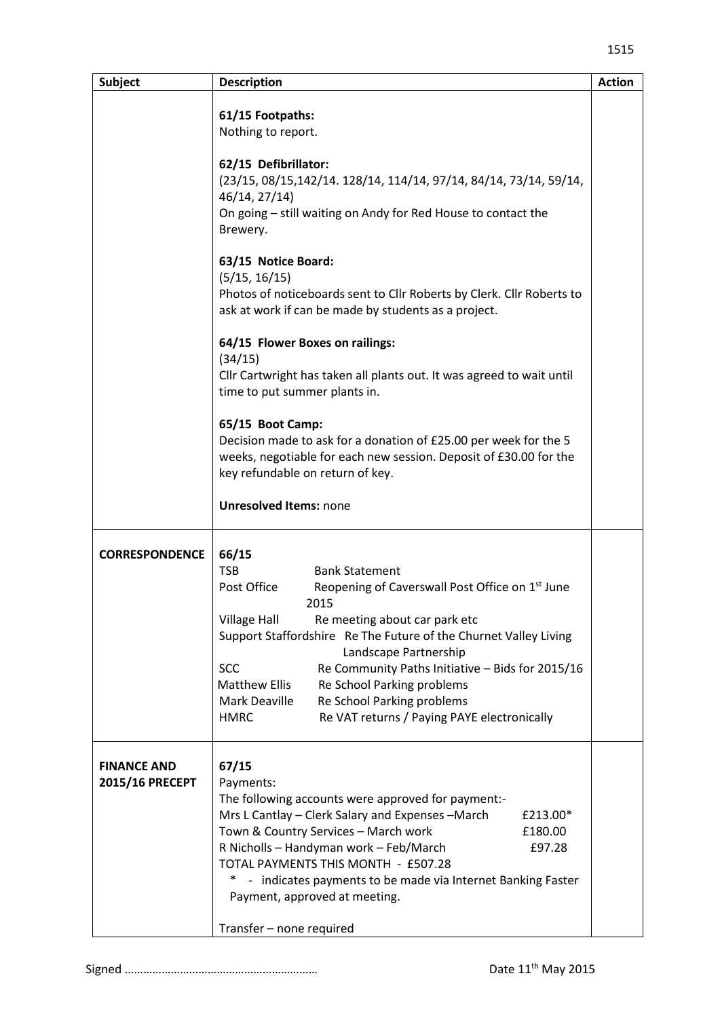| <b>Subject</b>                        | <b>Description</b>                                                                                                                                                                                                                                                                                                                                                                            | <b>Action</b> |
|---------------------------------------|-----------------------------------------------------------------------------------------------------------------------------------------------------------------------------------------------------------------------------------------------------------------------------------------------------------------------------------------------------------------------------------------------|---------------|
|                                       | 61/15 Footpaths:<br>Nothing to report.                                                                                                                                                                                                                                                                                                                                                        |               |
|                                       | 62/15 Defibrillator:<br>(23/15, 08/15, 142/14. 128/14, 114/14, 97/14, 84/14, 73/14, 59/14,<br>46/14, 27/14)<br>On going - still waiting on Andy for Red House to contact the<br>Brewery.                                                                                                                                                                                                      |               |
|                                       | 63/15 Notice Board:<br>(5/15, 16/15)<br>Photos of noticeboards sent to Cllr Roberts by Clerk. Cllr Roberts to<br>ask at work if can be made by students as a project.                                                                                                                                                                                                                         |               |
|                                       | 64/15 Flower Boxes on railings:<br>(34/15)<br>Cllr Cartwright has taken all plants out. It was agreed to wait until<br>time to put summer plants in.                                                                                                                                                                                                                                          |               |
|                                       | 65/15 Boot Camp:<br>Decision made to ask for a donation of £25.00 per week for the 5<br>weeks, negotiable for each new session. Deposit of £30.00 for the<br>key refundable on return of key.                                                                                                                                                                                                 |               |
|                                       | <b>Unresolved Items: none</b>                                                                                                                                                                                                                                                                                                                                                                 |               |
| <b>CORRESPONDENCE</b>                 | 66/15<br><b>TSB</b><br><b>Bank Statement</b><br>Post Office<br>Reopening of Caverswall Post Office on 1 <sup>st</sup> June                                                                                                                                                                                                                                                                    |               |
|                                       | 2015<br><b>Village Hall</b><br>Re meeting about car park etc<br>Support Staffordshire Re The Future of the Churnet Valley Living<br>Landscape Partnership                                                                                                                                                                                                                                     |               |
|                                       | <b>SCC</b><br>Re Community Paths Initiative - Bids for 2015/16<br><b>Matthew Ellis</b><br>Re School Parking problems<br>Mark Deaville<br>Re School Parking problems<br>Re VAT returns / Paying PAYE electronically<br><b>HMRC</b>                                                                                                                                                             |               |
| <b>FINANCE AND</b><br>2015/16 PRECEPT | 67/15<br>Payments:<br>The following accounts were approved for payment:-<br>Mrs L Cantlay - Clerk Salary and Expenses - March<br>£213.00*<br>Town & Country Services - March work<br>£180.00<br>R Nicholls - Handyman work - Feb/March<br>£97.28<br>TOTAL PAYMENTS THIS MONTH - £507.28<br>- indicates payments to be made via Internet Banking Faster<br>*,<br>Payment, approved at meeting. |               |
|                                       | Transfer - none required                                                                                                                                                                                                                                                                                                                                                                      |               |